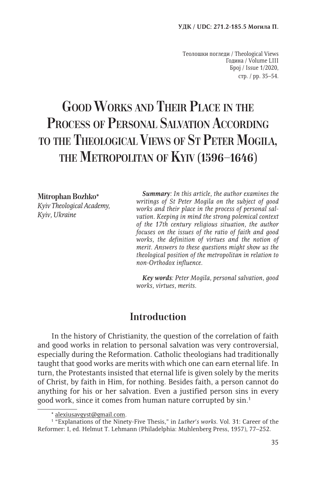Теолошки погледи / Theological Views Година / Volume LIII Број / Issue 1/2020, стр. / pp. 35–54.

# **Good Works and Their Place in the Process of Personal Salvation According to the Theological Views of St Peter Mogila, the Metropolitan of Kyiv (1596–1646)**

**Mitrophan Bozhko***\* Kyiv Theological Academy, Kyiv, Ukraine*

*Summary: In this article, the author examines the writings of St Peter Mogila on the subject of good works and their place in the process of personal salvation. Keeping in mind the strong polemical context of the 17th century religious situation, the author focuses on the issues of the ratio of faith and good works, the definition of virtues and the notion of merit. Answers to these questions might show us the theological position of the metropolitan in relation to non-Orthodox influence.*

*Key words: Peter Mogila, personal salvation, good works, virtues, merits.*

# **Introduction**

In the history of Christianity, the question of the correlation of faith and good works in relation to personal salvation was very controversial, especially during the Reformation. Catholic theologians had traditionally taught that good works are merits with which one can earn eternal life. In turn, the Protestants insisted that eternal life is given solely by the merits of Christ, by faith in Him, for nothing. Besides faith, a person cannot do anything for his or her salvation. Even a justified person sins in every good work, since it comes from human nature corrupted by sin.1

<sup>\*</sup> alexiusavgyst@gmail.com.

<sup>&</sup>lt;sup>1</sup> "Explanations of the Ninety-Five Thesis," in *Luther's works*. Vol. 31: Career of the Reformer: I, ed. Helmut T. Lehmann (Philadelphia: Muhlenberg Press, 1957), 77–252.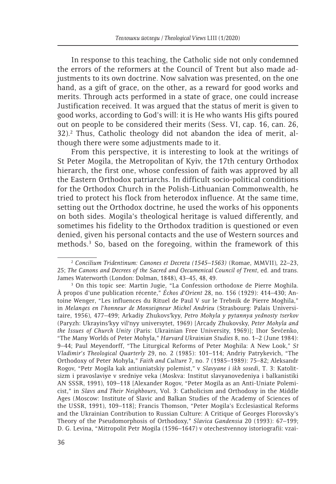In response to this teaching, the Catholic side not only condemned the errors of the reformers at the Council of Trent but also made adjustments to its own doctrine. Now salvation was presented, on the one hand, as a gift of grace, on the other, as a reward for good works and merits. Through acts performed in a state of grace, one could increase Justification received. It was argued that the status of merit is given to good works, according to God's will: it is He who wants His gifts poured out on people to be considered their merits (Sess. VI, cap. 16, can. 26, 32).<sup>2</sup> Thus, Catholic theology did not abandon the idea of merit, although there were some adjustments made to it.

From this perspective, it is interesting to look at the writings of St Peter Mogila, the Metropolitan of Kyiv, the 17th century Orthodox hierarch, the first one, whose confession of faith was approved by all the Eastern Orthodox patriarchs. In difficult socio-political conditions for the Orthodox Church in the Polish-Lithuanian Commonwealth, he tried to protect his flock from heterodox influence. At the same time, setting out the Orthodox doctrine, he used the works of his opponents on both sides. Mogila's theological heritage is valued differently, and sometimes his fidelity to the Orthodox tradition is questioned or even denied, given his personal contacts and the use of Western sources and methods.3 So, based on the foregoing, within the framework of this

<sup>2</sup> *Concilium Tridentinum: Canones et Decreta (1545–1563)* (Romae, MMVII), 22–23, 25; *The Canons and Decrees of the Sacred and Oecumenical Council of Trent*, ed. and trans. James Waterworth (London: Dolman, 1848), 43-45, 48, 49.

<sup>&</sup>lt;sup>3</sup> On this topic see: Martin Jugie, "La Confession orthodoxe de Pierre Moghila. À propos d'une publication récente," *Échos d'Orient* 28, no. 156 (1929): 414–430; Antoine Wenger, "Les influences du Rituel de Paul V sur le Trebnik de Pierre Moghila," in *Melanges en l'honneur de Monseigneur Michel Andrieu* (Strasbourg: Palais Universitaire, 1956), 477–499; Arkadiy Zhukovsʹkyy, *Petro Mohyla y pytannya yednosty tserkov* (Paryzh: Ukrayinsʹkyy vilʹnyy universytet, 1969) [Arcady Zhukovsky, *Peter Mohyla and the Issues of Church Unity* (Paris: Ukrainian Free University, 1969)]; Ihor Ševčenko, "The Many Worlds of Peter Mohyla," *Harvard Ukrainian Studies* 8, no. 1–2 (June 1984): 9–44; Paul Meyendorff, "The Liturgical Reforms of Peter Moghila: A New Look," *St Vladimir's Theological Quarterly* 29, no. 2 (1985): 101–114; Andriy Patrykevich, "The Orthodoxy of Peter Mohyla," *Faith and Culture* 7, no. 7 (1985–1989): 75–82; Aleksandr Rogov, "Petr Mogila kak antiuniatskiy polemist," v *Slavyane i ikh sosedi*, T. 3: Katolitsizm i pravoslaviye v sredniye veka (Moskva: Institut slavyanovedeniya i balkanistiki AN SSSR, 1991), 109–118 [Alexander Rogov, "Peter Mogila as an Anti-Uniate Polemicist," in *Slavs and Their Neighbours*, Vol. 3: Catholicism and Orthodoxy in the Middle Ages (Moscow: Institute of Slavic and Balkan Studies of the Academy of Sciences of the USSR, 1991), 109–118]; Francis Thomson, "Peter Mogila's Ecclesiastical Reforms and the Ukrainian Contribution to Russian Culture: A Critique of Georges Florovsky's Theory of the Pseudomorphosis of Orthodoxy," *Slavica Gandensia* 20 (1993): 67–199; D. G. Levina, "Mitropolit Petr Mogila (1596–1647) v otechestvennoy istoriografii: vzai-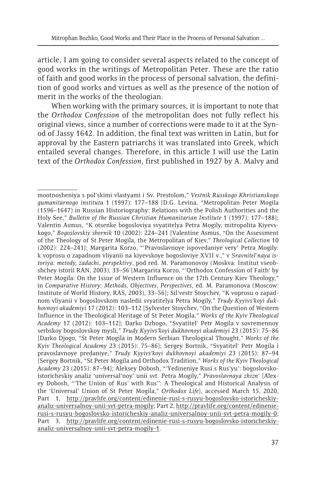article, I am going to consider several aspects related to the concept of good works in the writings of Metropolitan Peter. These are the ratio of faith and good works in the process of personal salvation, the definition of good works and virtues as well as the presence of the notion of merit in the works of the theologian.

When working with the primary sources, it is important to note that the *Orthodox Confession* of the metropolitan does not fully reflect his original views, since a number of corrections were made to it at the Synod of Jassy 1642. In addition, the final text was written in Latin, but for approval by the Eastern patriarchs it was translated into Greek, which entailed several changes. Therefore, in this article I will use the Latin text of the *Orthodox Confession*, first published in 1927 by A. Malvy and

mootnosheniya s pol'skimi vlastyami i Sv. Prestolom," *Vestnik Russkogo Khristianskogo gumanitarnogo instituta* 1 (1997): 177–188 [D.G. Levina, "Metropolitan Peter Mogila (1596–1647) in Russian Historiography: Relations with the Polish Authorities and the Holy See," *Bulletin of the Russian Christian Humanitarian Institute* 1 (1997): 177–188]; Valentin Asmus, "K otsenke bogosloviya svyatitelya Petra Mogily, mitropolita Kiyevskogo," *Bogoslovskiy sbornik* 10 (2002): 224–241 [Valentine Asmus, "On the Assessment of the Theology of St Peter Mogila, the Metropolitan of Kiev," *Theological Collection* 10 (2002): 224–241]; Margarita Korzo, "'Pravoslavnoye ispovedaniye very' Petra Mogily: k voprosu o zapadnom vliyanii na kiyevskoye bogosloviye XVII v.," v *Sravnitel'naya istoriya: metody, zadachi, perspektivy*, pod red. M. Paramonovoy (Moskva: Institut vseobshchey istorii RAN, 2003), 33–56 [Margarita Korzo, "'Orthodox Confession of Faith' by Peter Mogila: On the Issue of Western Influence on the 17th Century Kiev Theology," in *Comparative History: Methods, Objectives, Perspectives*, ed. M. Paramonova (Moscow: Institute of World History, RAS, 2003), 33–56]; Sil'vestr Stoychev, "K voprosu o zapadnom vliyanii v bogoslovskom nasledii svyatitelya Petra Mogily," *Trudy Kyyivsʹkoyi dukhovnoyi akademiyi* 17 (2012): 103–112 [Sylvester Stoychev, "On the Question of Western Influence in the Theological Heritage of St Peter Mogila," *Works of the Kyiv Theological Academy* 17 (2012): 103–112]; Darko Dzhogo, "Svyatitel' Petr Mogila v sovremennoy serbskoy bogoslovskoy mysli," *Trudy Kyyivsʹkoyi dukhovnoyi akademiyi* 23 (2015): 75–86 [Darko Djogo, "St Peter Mogila in Modern Serbian Theological Thought," *Works of the Kyiv Theological Academy* 23 (2015): 75–86]; Sergey Bortnik, "Svyatitel' Petr Mogila i pravoslavnoye predaniye," *Trudy Kyyivsʹkoyi dukhovnoyi akademiyi* 23 (2015): 87–94 [Sergey Bortnik, "St Peter Mogila and Orthodox Tradition," *Works of the Kyiv Theological Academy* 23 (2015): 87–94]; Aleksey Dobosh, "'Yedineniye Rusi s Rus'yu': bogoslovskoistoricheskiy analiz 'universal'noy' unii svt. Petra Mogily," *Pravoslavnaya zhizn'* [Alexey Dobosh, "'The Union of Rus' with Rus'': A Theological and Historical Analysis of the 'Universal' Union of St Peter Mogila," *Orthodox Life*], accessed March 15, 2020, Part 1, http://pravlife.org/content/edinenie-rusi-s-rusyu-bogoslovsko-istoricheskiyanaliz-universalnoy-unii-svt-petra-mogily; Part 2, http://pravlife.org/content/edinenierusi-s-rusyu-bogoslovsko-istoricheskiy-analiz-universalnoy-unii-svt-petra-mogily-0; Part 3, http://pravlife.org/content/edinenie-rusi-s-rusyu-bogoslovsko-istoricheskiyanaliz-universalnoy-unii-svt-petra-mogily-1.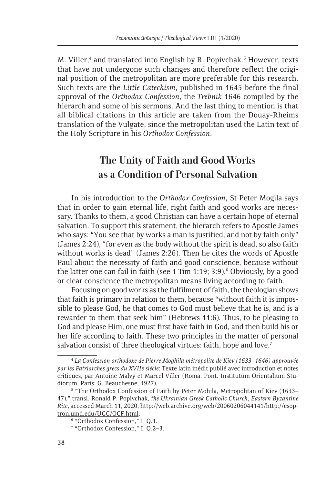M. Viller,<sup>4</sup> and translated into English by R. Popivchak.<sup>5</sup> However, texts that have not undergone such changes and therefore reflect the original position of the metropolitan are more preferable for this research. Such texts are the *Little Catechism*, published in 1645 before the final approval of the *Orthodox Confession*, the *Trebnik* 1646 compiled by the hierarch and some of his sermons. And the last thing to mention is that all biblical citations in this article are taken from the Douay-Rheims translation of the Vulgate, since the metropolitan used the Latin text of the Holy Scripture in his *Orthodox Confession*.

# **The Unity of Faith and Good Works as a Condition of Personal Salvation**

In his introduction to the *Orthodox Confession*, St Peter Mogila says that in order to gain eternal life, right faith and good works are necessary. Thanks to them, a good Christian can have a certain hope of eternal salvation. To support this statement, the hierarch refers to Apostle James who says: "You see that by works a man is justified, and not by faith only" (James 2:24), "for even as the body without the spirit is dead, so also faith without works is dead" (James 2:26). Then he cites the words of Apostle Paul about the necessity of faith and good conscience, because without the latter one can fail in faith (see 1 Tim 1:19; 3:9).<sup>6</sup> Obviously, by a good or clear conscience the metropolitan means living according to faith.

Focusing on good works as the fulfilment of faith, the theologian shows that faith is primary in relation to them, because "without faith it is impossible to please God, he that comes to God must believe that he is, and is a rewarder to them that seek him" (Hebrews 11:6). Thus, to be pleasing to God and please Him, one must first have faith in God, and then build his or her life according to faith. These two principles in the matter of personal salvation consist of three theological virtues: faith, hope and love.<sup>7</sup>

<sup>4</sup> *La Confession orthodoxe de Pierre Moghila métropolite de Kiev (1633–1646) approuvée par les Patriarches grecs du XVIIe siècle*: Texte latin inédit publié avec introduction et notes critiques, par Antoine Malvy et Marcel Viller (Roma: Pont. Institutum Orientalium Studiorum, Paris: G. Beauchesne, 1927).

<sup>&</sup>lt;sup>5</sup> "The Orthodox Confession of Faith by Peter Mohila, Metropolitan of Kiev (1633– 47)," transl. Ronald P. Popivchak, *the Ukrainian Greek Catholic Church, Eastern Byzantine Rite*, accessed March 11, 2020, http://web.archive.org/web/20060206044141/http://esoptron.umd.edu/UGC/OCF.html. 6

<sup>&</sup>lt;sup>6</sup> "Orthodox Confession," I, Q.1.

<sup>7</sup> "Orthodox Confession," I, Q.2–3.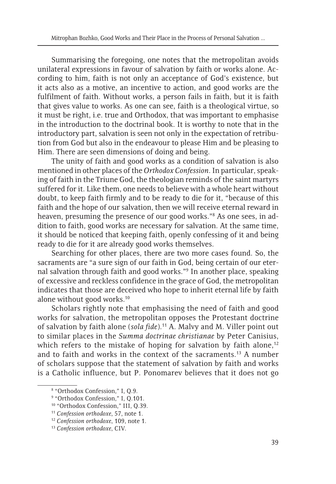Summarising the foregoing, one notes that the metropolitan avoids unilateral expressions in favour of salvation by faith or works alone. According to him, faith is not only an acceptance of God's existence, but it acts also as a motive, an incentive to action, and good works are the fulfilment of faith. Without works, a person fails in faith, but it is faith that gives value to works. As one can see, faith is a theological virtue, so it must be right, i.e. true and Orthodox, that was important to emphasise in the introduction to the doctrinal book. It is worthy to note that in the introductory part, salvation is seen not only in the expectation of retribution from God but also in the endeavour to please Him and be pleasing to Him. There are seen dimensions of doing and being.

The unity of faith and good works as a condition of salvation is also mentioned in other places of the *Orthodox Confession*. In particular, speaking of faith in the Triune God, the theologian reminds of the saint martyrs suffered for it. Like them, one needs to believe with a whole heart without doubt, to keep faith firmly and to be ready to die for it, "because of this faith and the hope of our salvation, then we will receive eternal reward in heaven, presuming the presence of our good works."8 As one sees, in addition to faith, good works are necessary for salvation. At the same time, it should be noticed that keeping faith, openly confessing of it and being ready to die for it are already good works themselves.

Searching for other places, there are two more cases found. So, the sacraments are "a sure sign of our faith in God, being certain of our eternal salvation through faith and good works."9 In another place, speaking of excessive and reckless confidence in the grace of God, the metropolitan indicates that those are deceived who hope to inherit eternal life by faith alone without good works.<sup>10</sup>

Scholars rightly note that emphasising the need of faith and good works for salvation, the metropolitan opposes the Protestant doctrine of salvation by faith alone (*sola fide*).11 A. Malvy and M. Viller point out to similar places in the *Summa doctrinae christianae* by Peter Canisius, which refers to the mistake of hoping for salvation by faith alone, $12$ and to faith and works in the context of the sacraments.<sup>13</sup> A number of scholars suppose that the statement of salvation by faith and works is a Catholic influence, but P. Ponomarev believes that it does not go

<sup>8</sup> "Orthodox Confession," I, Q.9.

<sup>&</sup>lt;sup>9</sup> "Orthodox Confession," I, Q.101.

<sup>10 &</sup>quot;Orthodox Confession," III, Q.39.

<sup>11</sup> *Confession orthodoxe*, 57, note 1. 12 *Confession orthodoxe*, 109, note 1. 13 *Confession orthodoxe*, CIV.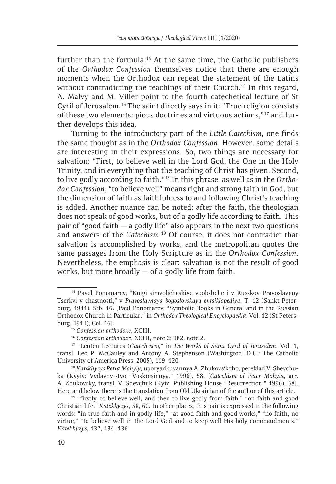further than the formula.<sup>14</sup> At the same time, the Catholic publishers of the *Orthodox Confession* themselves notice that there are enough moments when the Orthodox can repeat the statement of the Latins without contradicting the teachings of their Church.<sup>15</sup> In this regard, A. Malvy and M. Viller point to the fourth catechetical lecture of St Cyril of Jerusalem.16 The saint directly says in it: "True religion consists of these two elements: pious doctrines and virtuous actions,"17 and further develops this idea.

Turning to the introductory part of the *Little Catechism*, one finds the same thought as in the *Orthodox Confession*. However, some details are interesting in their expressions. So, two things are necessary for salvation: "First, to believe well in the Lord God, the One in the Holy Trinity, and in everything that the teaching of Christ has given. Second, to live godly according to faith."18 In this phrase, as well as in the *Orthodox Confession*, "to believe well" means right and strong faith in God, but the dimension of faith as faithfulness to and following Christ's teaching is added. Another nuance can be noted: after the faith, the theologian does not speak of good works, but of a godly life according to faith. This pair of "good faith — a godly life" also appears in the next two questions and answers of the *Catechism*. 19 Of course, it does not contradict that salvation is accomplished by works, and the metropolitan quotes the same passages from the Holy Scripture as in the *Orthodox Confession*. Nevertheless, the emphasis is clear: salvation is not the result of good works, but more broadly  $-$  of a godly life from faith.

<sup>14</sup> Pavel Ponomarev, "Knigi simvolicheskiye voobshche i v Russkoy Pravoslavnoy Tserkvi v chastnosti," v *Pravoslavnaya bogoslovskaya entsiklopediya*. T. 12 (Sankt-Peterburg, 1911), Stb. 16. [Paul Ponomarev, "Symbolic Books in General and in the Russian Orthodox Church in Particular," in *Orthodox Theological Encyclopaedia*. Vol. 12 (St Petersburg, 1911), Col. 16]. 15 *Confession orthodoxe*, XCIII. 16 *Confession orthodoxe*, XCIII, note 2; 182, note 2. 17 "Lenten Lectures (*Catecheses*)," in *The Works of Saint Cyril of Jerusalem*. Vol. 1,

transl. Leo P. McCauley and Antony A. Stephenson (Washington, D.C.: The Catholic University of America Press, 2005), 119–120. 18 *Katekhyzys Petra Mohyly*, uporyadkuvannya A. Zhukovsʹkoho, pereklad V. Shevchu-

ka (Kyyiv: Vydavnytstvo "Voskresinnya," 1996), 58. [*Catechism of Peter Mohyla*, arr. A. Zhukovsky, transl. V. Shevchuk (Kyiv: Publishing House "Resurrection," 1996), 58]. Here and below there is the translation from Old Ukrainian of the author of this article.

 $19$  "firstly, to believe well, and then to live godly from faith," "on faith and good Christian life." *Katekhyzys*, 58, 60. In other places, this pair is expressed in the following words: "in true faith and in godly life," "at good faith and good works," "no faith, no virtue," "to believe well in the Lord God and to keep well His holy commandments." *Katekhyzys*, 132, 134, 136.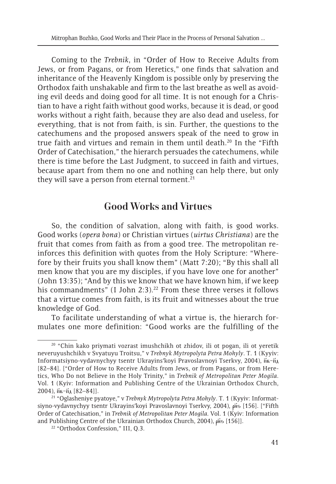Coming to the *Trebnik*, in "Order of How to Receive Adults from Jews, or from Pagans, or from Heretics," one finds that salvation and inheritance of the Heavenly Kingdom is possible only by preserving the Orthodox faith unshakable and firm to the last breathe as well as avoiding evil deeds and doing good for all time. It is not enough for a Christian to have a right faith without good works, because it is dead, or good works without a right faith, because they are also dead and useless, for everything, that is not from faith, is sin. Further, the questions to the catechumens and the proposed answers speak of the need to grow in true faith and virtues and remain in them until death.<sup>20</sup> In the "Fifth Order of Catechisation," the hierarch persuades the catechumens, while there is time before the Last Judgment, to succeed in faith and virtues, because apart from them no one and nothing can help there, but only they will save a person from eternal torment. $21$ 

# **Good Works and Virtues**

So, the condition of salvation, along with faith, is good works. Good works (*opera bona*) or Christian virtues (*uirtus Christiana*) are the fruit that comes from faith as from a good tree. The metropolitan reinforces this definition with quotes from the Holy Scripture: "Wherefore by their fruits you shall know them" (Matt 7:20); "By this shall all men know that you are my disciples, if you have love one for another" (John 13:35); "And by this we know that we have known him, if we keep his commandments" (I John 2:3).<sup>22</sup> From these three verses it follows that a virtue comes from faith, is its fruit and witnesses about the true knowledge of God.

To facilitate understanding of what a virtue is, the hierarch formulates one more definition: "Good works are the fulfilling of the

<sup>&</sup>lt;sup>20</sup> "Chin kako priymati vozrast imushchikh ot zhidov, ili ot pogan, ili ot yeretik neveruyushchikh v Svyatuyu Troitsu," v *Trebnyk Mytropolyta Petra Mohyly*. T. 1 (Kyyiv: Informatsiyno-vydavnychyy tsentr Ukrayins'koyi Pravoslavnoyi Tserkvy, 2004), пв-пд [82–84]. ["Order of How to Receive Adults from Jews, or from Pagans, or from Heretics, Who Do not Believe in the Holy Trinity," in *Trebnik of Metropolitan Peter Mogila*. Vol. 1 (Kyiv: Information and Publishing Centre of the Ukrainian Orthodox Church, 2004), п<sup>21</sup> "Oglasheniye pyatoye," v *Trebnyk Mytropolyta Petra Mohyly*. T. 1 (Kyyiv: Informat-

siyno-vydavnychyy tsentr Ukrayins'koyi Pravoslavnoyi Tserkvy, 2004), piis [156]. ["Fifth Order of Catechisation," in *Trebnik of Metropolitan Peter Mogila*. Vol. 1 (Kyiv: Information and Publishing Centre of the Ukrainian Orthodox Church, 2004),  $\beta$ iis [156]]. <sup>22</sup> "Orthodox Confession," III, Q.3.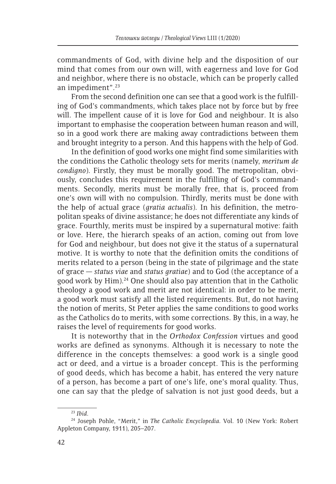commandments of God, with divine help and the disposition of our mind that comes from our own will, with eagerness and love for God and neighbor, where there is no obstacle, which can be properly called an impediment".23

From the second definition one can see that a good work is the fulfilling of God's commandments, which takes place not by force but by free will. The impellent cause of it is love for God and neighbour. It is also important to emphasise the cooperation between human reason and will, so in a good work there are making away contradictions between them and brought integrity to a person. And this happens with the help of God.

In the definition of good works one might find some similarities with the conditions the Catholic theology sets for merits (namely, *meritum de condigno*). Firstly, they must be morally good. The metropolitan, obviously, concludes this requirement in the fulfilling of God's commandments. Secondly, merits must be morally free, that is, proceed from one's own will with no compulsion. Thirdly, merits must be done with the help of actual grace (*gratia actualis*). In his definition, the metropolitan speaks of divine assistance; he does not differentiate any kinds of grace. Fourthly, merits must be inspired by a supernatural motive: faith or love. Here, the hierarch speaks of an action, coming out from love for God and neighbour, but does not give it the status of a supernatural motive. It is worthy to note that the definition omits the conditions of merits related to a person (being in the state of pilgrimage and the state of grace — *status viae* and *status gratiae*) and to God (the acceptance of a good work by Him).<sup>24</sup> One should also pay attention that in the Catholic theology a good work and merit are not identical: in order to be merit, a good work must satisfy all the listed requirements. But, do not having the notion of merits, St Peter applies the same conditions to good works as the Catholics do to merits, with some corrections. By this, in a way, he raises the level of requirements for good works.

It is noteworthy that in the *Orthodox Confession* virtues and good works are defined as synonyms. Although it is necessary to note the difference in the concepts themselves: a good work is a single good act or deed, and a virtue is a broader concept. This is the performing of good deeds, which has become a habit, has entered the very nature of a person, has become a part of one's life, one's moral quality. Thus, one can say that the pledge of salvation is not just good deeds, but a

<sup>23</sup> *Ibid*. 24 Joseph Pohle, "Merit," in *The Catholic Encyclopedia*. Vol. 10 (New York: Robert Appleton Company, 1911), 205–207.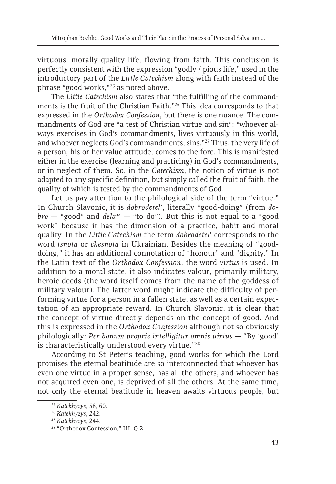virtuous, morally quality life, flowing from faith. This conclusion is perfectly consistent with the expression "godly / pious life," used in the introductory part of the *Little Catechism* along with faith instead of the phrase "good works,"25 as noted above.

The *Little Catechism* also states that "the fulfilling of the commandments is the fruit of the Christian Faith."26 This idea corresponds to that expressed in the *Orthodox Confession*, but there is one nuance. The commandments of God are "a test of Christian virtue and sin": "whoever always exercises in God's commandments, lives virtuously in this world, and whoever neglects God's commandments, sins."27 Thus, the very life of a person, his or her value attitude, comes to the fore. This is manifested either in the exercise (learning and practicing) in God's commandments, or in neglect of them. So, in the *Catechism*, the notion of virtue is not adapted to any specific definition, but simply called the fruit of faith, the quality of which is tested by the commandments of God.

Let us pay attention to the philological side of the term "virtue." In Church Slavonic, it is *dobrodetel'*, literally "good-doing" (from *dobro* — "good" and *delat'* — "to do"). But this is not equal to a "good work" because it has the dimension of a practice, habit and moral quality. In the *Little Catechism* the term *dobrodetel'* corresponds to the word *tsnota* or *chesnota* in Ukrainian. Besides the meaning of "gooddoing," it has an additional connotation of "honour" and "dignity." In the Latin text of the *Orthodox Confession*, the word *virtus* is used. In addition to a moral state, it also indicates valour, primarily military, heroic deeds (the word itself comes from the name of the goddess of military valour). The latter word might indicate the difficulty of performing virtue for a person in a fallen state, as well as a certain expectation of an appropriate reward. In Church Slavonic, it is clear that the concept of virtue directly depends on the concept of good. And this is expressed in the *Orthodox Confession* although not so obviously philologically: *Per bonum proprie intelligitur omnis uirtus* — "By 'good' is characteristically understood every virtue."28

According to St Peter's teaching, good works for which the Lord promises the eternal beatitude are so interconnected that whoever has even one virtue in a proper sense, has all the others, and whoever has not acquired even one, is deprived of all the others. At the same time, not only the eternal beatitude in heaven awaits virtuous people, but

<sup>25</sup> *Katekhyzys*, 58, 60. 26 *Katekhyzys*, 242. 27 *Katekhyzys*, 244. 28 "Orthodox Confession," III, Q.2.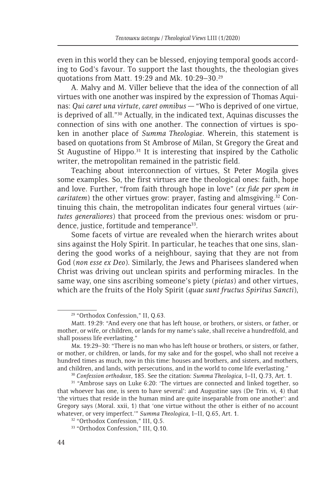even in this world they can be blessed, enjoying temporal goods according to God's favour. To support the last thoughts, the theologian gives quotations from Matt. 19:29 and Mk. 10:29–30.29

A. Malvy and M. Viller believe that the idea of the connection of all virtues with one another was inspired by the expression of Thomas Aquinas: *Qui caret una virtute, caret omnibus* — "Who is deprived of one virtue, is deprived of all."30 Actually, in the indicated text, Aquinas discusses the connection of sins with one another. The connection of virtues is spoken in another place of *Summa Theologiae*. Wherein, this statement is based on quotations from St Ambrose of Milan, St Gregory the Great and St Augustine of Hippo. $31$  It is interesting that inspired by the Catholic writer, the metropolitan remained in the patristic field.

Teaching about interconnection of virtues, St Peter Mogila gives some examples. So, the first virtues are the theological ones: faith, hope and love. Further, "from faith through hope in love" (*ex fide per spem in caritatem*) the other virtues grow: prayer, fasting and almsgiving.<sup>32</sup> Continuing this chain, the metropolitan indicates four general virtues (*uirtutes generaliores*) that proceed from the previous ones: wisdom or prudence, justice, fortitude and temperance<sup>33</sup>.

Some facets of virtue are revealed when the hierarch writes about sins against the Holy Spirit. In particular, he teaches that one sins, slandering the good works of a neighbour, saying that they are not from God (*non esse ex Deo*). Similarly, the Jews and Pharisees slandered when Christ was driving out unclean spirits and performing miracles. In the same way, one sins ascribing someone's piety (*pietas*) and other virtues, which are the fruits of the Holy Spirit (*quae sunt fructus Spiritus Sancti*),

<sup>29 &</sup>quot;Orthodox Confession," II, Q.63.

Matt. 19:29: "And every one that has left house, or brothers, or sisters, or father, or mother, or wife, or children, or lands for my name's sake, shall receive a hundredfold, and shall possess life everlasting."

Мк. 19:29–30: "There is no man who has left house or brothers, or sisters, or father, or mother, or children, or lands, for my sake and for the gospel, who shall not receive a hundred times as much, now in this time: houses and brothers, and sisters, and mothers, and children, and lands, with persecutions, and in the world to come life everlasting."<br><sup>30</sup> Confession orthodoxe, 185. See the citation: *Summa Theologica*, I–II, Q.73, Art. 1.<br><sup>31</sup> "Ambrose says on Luke 6:20: 'The virtu

that whoever has one, is seen to have several': and Augustine says (De Trin. vi, 4) that 'the virtues that reside in the human mind are quite inseparable from one another': and Gregory says (Moral. xxii, 1) that 'one virtue without the other is either of no account whatever, or very imperfect.'" *Summa Theologica*, I–II, Q.65, Art. 1. 32 "Orthodox Confession," III, Q.5.

<sup>33 &</sup>quot;Orthodox Confession," III, Q.10.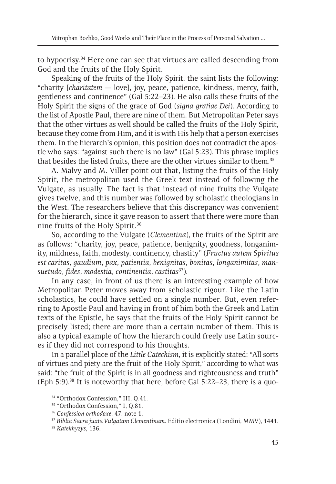to hypocrisy.34 Here one can see that virtues are called descending from God and the fruits of the Holy Spirit.

Speaking of the fruits of the Holy Spirit, the saint lists the following: "charity [*charitatem* — love], joy, peace, patience, kindness, mercy, faith, gentleness and continence" (Gal 5:22–23). He also calls these fruits of the Holy Spirit the signs of the grace of God (*signa gratiae Dei*). According to the list of Apostle Paul, there are nine of them. But Metropolitan Peter says that the other virtues as well should be called the fruits of the Holy Spirit, because they come from Him, and it is with His help that a person exercises them. In the hierarch's opinion, this position does not contradict the apostle who says: "against such there is no law" (Gal 5:23). This phrase implies that besides the listed fruits, there are the other virtues similar to them.<sup>35</sup>

A. Malvy and M. Viller point out that, listing the fruits of the Holy Spirit, the metropolitan used the Greek text instead of following the Vulgate, as usually. The fact is that instead of nine fruits the Vulgate gives twelve, and this number was followed by scholastic theologians in the West. The researchers believe that this discrepancy was convenient for the hierarch, since it gave reason to assert that there were more than nine fruits of the Holy Spirit.36

So, according to the Vulgate (*Clementina*), the fruits of the Spirit are as follows: "charity, joy, peace, patience, benignity, goodness, longanimity, mildness, faith, modesty, continency, chastity" (*Fructus autem Spiritus est caritas, gaudium, pax, patientia, benignitas, bonitas, longanimitas, mansuetudo, fides, modestia, continentia, castitas*37).

In any case, in front of us there is an interesting example of how Metropolitan Peter moves away from scholastic rigour. Like the Latin scholastics, he could have settled on a single number. But, even referring to Apostle Paul and having in front of him both the Greek and Latin texts of the Epistle, he says that the fruits of the Holy Spirit cannot be precisely listed; there are more than a certain number of them. This is also a typical example of how the hierarch could freely use Latin sources if they did not correspond to his thoughts.

In a parallel place of the *Little Catechism*, it is explicitly stated: "All sorts of virtues and piety are the fruit of the Holy Spirit," according to what was said: "the fruit of the Spirit is in all goodness and righteousness and truth" (Eph 5:9).38 It is noteworthy that here, before Gal 5:22–23, there is a quo-

<sup>34 &</sup>quot;Orthodox Confession," III, Q.41.

<sup>&</sup>lt;sup>35</sup> "Orthodox Confession," I, Q.81.

<sup>36</sup> *Confession orthodoxe*, 47, note 1. 37 *Biblia Sacra juxta Vulgatam Clementinam*. Editio electronica (Londini, MMV), 1441. 38 *Katekhyzys*, 136.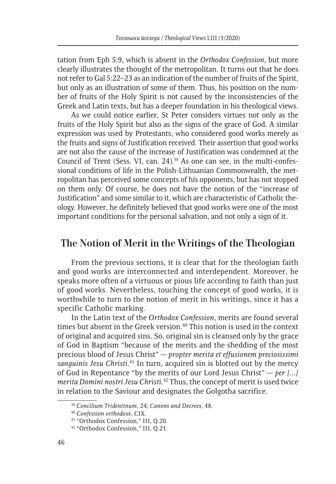tation from Eph 5:9, which is absent in the *Orthodox Confession*, but more clearly illustrates the thought of the metropolitan. It turns out that he does not refer to Gal 5:22–23 as an indication of the number of fruits of the Spirit, but only as an illustration of some of them. Thus, his position on the number of fruits of the Holy Spirit is not caused by the inconsistencies of the Greek and Latin texts, but has a deeper foundation in his theological views.

As we could notice earlier, St Peter considers virtues not only as the fruits of the Holy Spirit but also as the signs of the grace of God. A similar expression was used by Protestants, who considered good works merely as the fruits and signs of Justification received. Their assertion that good works are not also the cause of the increase of Justification was condemned at the Council of Trent (Sess. VI, can. 24).<sup>39</sup> As one can see, in the multi-confessional conditions of life in the Polish-Lithuanian Commonwealth, the metropolitan has perceived some concepts of his opponents, but has not stopped on them only. Of course, he does not have the notion of the "increase of Justification" and some similar to it, which are characteristic of Catholic theology. However, he definitely believed that good works were one of the most important conditions for the personal salvation, and not only a sign of it.

# **The Notion of Merit in the Writings of the Theologian**

From the previous sections, it is clear that for the theologian faith and good works are interconnected and interdependent. Moreover, he speaks more often of a virtuous or pious life according to faith than just of good works. Nevertheless, touching the concept of good works, it is worthwhile to turn to the notion of merit in his writings, since it has a specific Catholic marking.

In the Latin text of the *Orthodox Confession*, merits are found several times but absent in the Greek version.<sup>40</sup> This notion is used in the context of original and acquired sins. So, original sin is cleansed only by the grace of God in Baptism "because of the merits and the shedding of the most precious blood of Jesus Christ" — *propter merita et effusionem preciosissimi sanguinis Jesu Christi*. 41 In turn, acquired sin is blotted out by the mercy of God in Repentance "by the merits of our Lord Jesus Christ" — *per [...] merita Domini nostri Jesu Christi*. 42 Thus, the concept of merit is used twice in relation to the Saviour and designates the Golgotha sacrifice.

<sup>39</sup> *Concilium Tridentinum*, 24; *Canons and Decrees*, 48. 40 *Confession orthodoxe*, CIX. 41 "Orthodox Confession," III, Q.20.

<sup>42 &</sup>quot;Orthodox Confession," III, Q.21.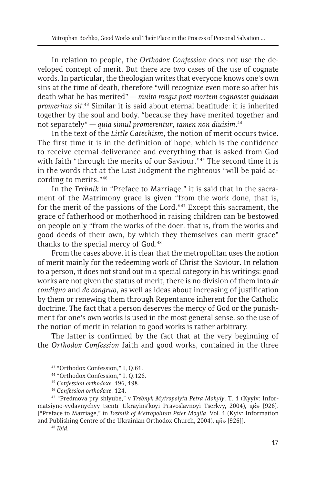In relation to people, the *Orthodox Confession* does not use the developed concept of merit. But there are two cases of the use of cognate words. In particular, the theologian writes that everyone knows one's own sins at the time of death, therefore "will recognize even more so after his death what he has merited" — *multo magis post mortem cognoscet quidnam promeritus sit*. 43 Similar it is said about eternal beatitude: it is inherited together by the soul and body, "because they have merited together and not separately" — *quia simul promerentur, tamen non diuisim*. 44

In the text of the *Little Catechism*, the notion of merit occurs twice. The first time it is in the definition of hope, which is the confidence to receive eternal deliverance and everything that is asked from God with faith "through the merits of our Saviour."<sup>45</sup> The second time it is in the words that at the Last Judgment the righteous "will be paid according to merits."46

In the *Trebnik* in "Preface to Marriage," it is said that in the sacrament of the Matrimony grace is given "from the work done, that is, for the merit of the passions of the Lord."47 Except this sacrament, the grace of fatherhood or motherhood in raising children can be bestowed on people only "from the works of the doer, that is, from the works and good deeds of their own, by which they themselves can merit grace" thanks to the special mercy of God.<sup>48</sup>

From the cases above, it is clear that the metropolitan uses the notion of merit mainly for the redeeming work of Christ the Saviour. In relation to a person, it does not stand out in a special category in his writings: good works are not given the status of merit, there is no division of them into *de condigno* and *de congruo*, as well as ideas about increasing of justification by them or renewing them through Repentance inherent for the Catholic doctrine. The fact that a person deserves the mercy of God or the punishment for one's own works is used in the most general sense, so the use of the notion of merit in relation to good works is rather arbitrary.

The latter is confirmed by the fact that at the very beginning of the *Orthodox Confession* faith and good works, contained in the three

<sup>43 &</sup>quot;Orthodox Confession," I, Q.61.

<sup>44 &</sup>quot;Orthodox Confession," I, Q.126.

<sup>45</sup> *Confession orthodoxe*, 196, 198. 46 *Confession orthodoxe*, 124. 47 "Predmova pry shlyube," v *Trebnyk Mytropolyta Petra Mohyly*. T. 1 (Kyyiv: Informatsiyno-vydavnychyy tsentr Ukrayins'koyi Pravoslavnoyi Tserkvy, 2004), цкъ [926]. ["Preface to Marriage," in *Trebnik of Metropolitan Peter Mogila*. Vol. 1 (Kyiv: Information and Publishing Centre of the Ukrainian Orthodox Church, 2004), цк̂ѕ [926]].<br><sup>48</sup> *Ibid*.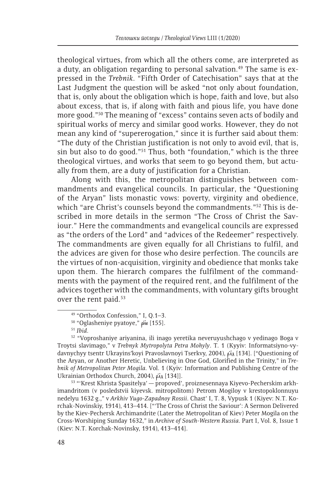theological virtues, from which all the others come, are interpreted as a duty, an obligation regarding to personal salvation.<sup>49</sup> The same is expressed in the *Trebnik*. "Fifth Order of Catechisation" says that at the Last Judgment the question will be asked "not only about foundation, that is, only about the obligation which is hope, faith and love, but also about excess, that is, if along with faith and pious life, you have done more good."50 The meaning of "excess" contains seven acts of bodily and spiritual works of mercy and similar good works. However, they do not mean any kind of "supererogation," since it is further said about them: "The duty of the Christian justification is not only to avoid evil, that is, sin but also to do good."51 Thus, both "foundation," which is the three theological virtues, and works that seem to go beyond them, but actually from them, are a duty of justification for a Christian.

Along with this, the metropolitan distinguishes between commandments and evangelical councils. In particular, the "Questioning of the Aryan" lists monastic vows: poverty, virginity and obedience, which "are Christ's counsels beyond the commandments."<sup>52</sup> This is described in more details in the sermon "The Cross of Christ the Saviour." Here the commandments and evangelical councils are expressed as "the orders of the Lord" and "advices of the Redeemer" respectively. The commandments are given equally for all Christians to fulfil, and the advices are given for those who desire perfection. The councils are the virtues of non-acquisition, virginity and obedience that monks take upon them. The hierarch compares the fulfilment of the commandments with the payment of the required rent, and the fulfilment of the advices together with the commandments, with voluntary gifts brought over the rent paid.<sup>53</sup>

imandritom (v posledstvii kiyevsk. mitropolitom) Petrom Mogiloy v krestopoklonnuyu nedelyu 1632 g.," v *Arkhiv Yugo-Zapadnoy Rossii*. Chast' I, T. 8, Vypusk 1 (Kiyev: N.T. Korchak-Novinskiy, 1914), 413–414. ["'The Cross of Christ the Saviour': A Sermon Delivered by the Kiev-Pechersk Archimandrite (Later the Metropolitan of Kiev) Peter Mogila on the Cross-Worshiping Sunday 1632," in *Archive of South-Western Russia*. Part I, Vol. 8, Issue 1 (Kiev: N.T. Korchak-Novinsky, 1914), 413–414].

<sup>&</sup>lt;sup>49</sup> "Orthodox Confession," I, Q.1–3.<br><sup>50</sup> "Oglasheniye pyatoye,"  $\rho$ iie [155].

<sup>&</sup>lt;sup>51</sup> Ibid.<br><sup>52</sup> "Voproshaniye ariyanina, ili inago yeretika neveruyushchago v yedinago Boga v Troytsi slavimago," v *Trebnyk Mytropolyta Petra Mohyly*. T. 1 (Kyyiv: Informatsiyno-vydavnychyy tsentr Ukrayins'koyi Pravoslavnoyi Tserkvy, 2004),  $\vec{\mu}$ d, [134]. ["Questioning of the Aryan, or Another Heretic, Unbelieving in One God, Glorified in the Trinity," in *Trebnik of Metropolitan Peter Mogila*. Vol. 1 (Kyiv: Information and Publishing Centre of the Ukrainian Orthodox Church, 2004),  $\vec{\mu}$ <sub>4</sub> [134]].<br><sup>53</sup> "Krest Khrista Spasitelya' — propoved', proiznesennaya Kiyevo-Pecherskim arkh-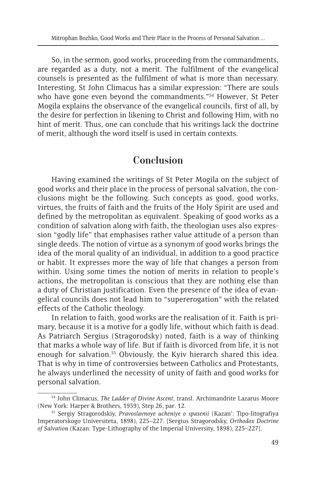So, in the sermon, good works, proceeding from the commandments, are regarded as a duty, not a merit. The fulfilment of the evangelical counsels is presented as the fulfilment of what is more than necessary. Interesting, St John Climacus has a similar expression: "There are souls who have gone even beyond the commandments."<sup>54</sup> However, St Peter Mogila explains the observance of the evangelical councils, first of all, by the desire for perfection in likening to Christ and following Him, with no hint of merit. Thus, one can conclude that his writings lack the doctrine of merit, although the word itself is used in certain contexts.

# **Conclusion**

Having examined the writings of St Peter Mogila on the subject of good works and their place in the process of personal salvation, the conclusions might be the following. Such concepts as good, good works, virtues, the fruits of faith and the fruits of the Holy Spirit are used and defined by the metropolitan as equivalent. Speaking of good works as a condition of salvation along with faith, the theologian uses also expression "godly life" that emphasises rather value attitude of a person than single deeds. The notion of virtue as a synonym of good works brings the idea of the moral quality of an individual, in addition to a good practice or habit. It expresses more the way of life that changes a person from within. Using some times the notion of merits in relation to people's actions, the metropolitan is conscious that they are nothing else than a duty of Christian justification. Even the presence of the idea of evangelical councils does not lead him to "supererogation" with the related effects of the Catholic theology.

In relation to faith, good works are the realisation of it. Faith is primary, because it is a motive for a godly life, without which faith is dead. As Patriarch Sergius (Stragorodsky) noted, faith is a way of thinking that marks a whole way of life. But if faith is divorced from life, it is not enough for salvation.<sup>55</sup> Obviously, the Kyiv hierarch shared this idea. That is why in time of controversies between Catholics and Protestants, he always underlined the necessity of unity of faith and good works for personal salvation.

<sup>54</sup> John Climacus, *The Ladder of Divine Ascent*, transl. Archimandrite Lazarus Moore (New York: Harper & Brothers, 1959), Step 26, par. 12. 55 Sergiy Stragorodskiy, *Pravoslavnoye ucheniye o spasenii* (Kazan': Tipo-litografiya

Imperatorskogo Universiteta, 1898), 225–227. [Sergius Stragorodsky, *Orthodox Doctrine of Salvation* (Kazan: Type-Lithography of the Imperial University, 1898), 225–227].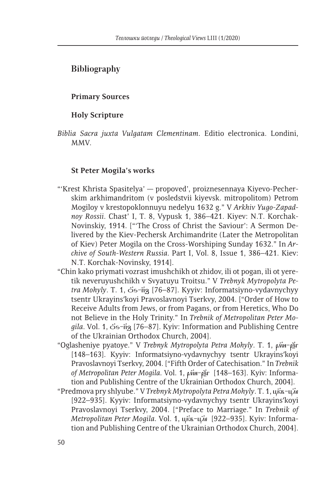### **Bibliography**

#### **Primary Sources**

#### **Holy Scripture**

*Biblia Sacra juxta Vulgatam Clementinam*. Editio electronica. Londini, MMV.

#### **St Peter Mogila's works**

- "'Krest Khrista Spasitelya' propoved', proiznesennaya Kiyevo-Pecherskim arkhimandritom (v posledstvii kiyevsk. mitropolitom) Petrom Mogiloy v krestopoklonnuyu nedelyu 1632 g." V *Arkhiv Yugo-Zapadnoy Rossii*. Chast' I, T. 8, Vypusk 1, 386–421. Kiyev: N.T. Korchak-Novinskiy, 1914. ["'The Cross of Christ the Saviour': A Sermon Delivered by the Kiev-Pechersk Archimandrite (Later the Metropolitan of Kiev) Peter Mogila on the Cross-Worshiping Sunday 1632." In *Archive of South-Western Russia*. Part I, Vol. 8, Issue 1, 386–421. Kiev: N.T. Korchak-Novinsky, 1914].
- "Chin kako priymati vozrast imushchikh ot zhidov, ili ot pogan, ili ot yeretik neveruyushchikh v Svyatuyu Troitsu." V *Trebnyk Mytropolyta Petra Mohyly*. T. 1, 5s-n<sup>2</sup><sub>3</sub> [76–87]. Kyyiv: Informatsiyno-vydavnychyy tsentr Ukrayinsʹkoyi Pravoslavnoyi Tserkvy, 2004. ["Order of How to Receive Adults from Jews, or from Pagans, or from Heretics, Who Do not Believe in the Holy Trinity." In *Trebnik of Metropolitan Peter Mogila*. Vol. 1, 5s-п<sup>2</sup> [76–87]. Kyiv: Information and Publishing Centre of the Ukrainian Orthodox Church, 2004].
- "Oglasheniye pyatoye." V Trebnyk Mytropolyta Petra Mohyly. Т. 1, рин-ра [148-163]. Kyyiv: Informatsiyno-vydavnychyy tsentr Ukrayins'koyi Pravoslavnoyi Tserkvy, 2004. ["Fifth Order of Catechisation." In *Trebnik of Metropolitan Peter Mogila*. Vol. 1, рин-разг [148–163]. Kyiv: Information and Publishing Centre of the Ukrainian Orthodox Church, 2004].
- "Predmova pry shlyube." V *Trebnyk Mytropolyta Petra Mohyly*. Т. 1, цкъ-цле [922–935]. Kyyiv: Informatsiyno-vydavnychyy tsentr Ukrayins'koyi Pravoslavnoyi Tserkvy, 2004. ["Preface to Marriage." In *Trebnik of Metropolitan Peter Mogila. Vol. 1, цка-цле* [922–935]. Kyiv: Information and Publishing Centre of the Ukrainian Orthodox Church, 2004].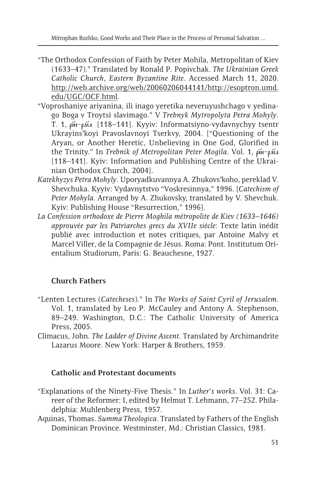- "The Orthodox Confession of Faith by Peter Mohila, Metropolitan of Kiev (1633–47)." Translated by Ronald P. Popivchak. *The Ukrainian Greek Catholic Church, Eastern Byzantine Rite*. Accessed March 11, 2020. http://web.archive.org/web/20060206044141/http://esoptron.umd. edu/UGC/OCF.html.
- "Voproshaniye ariyanina, ili inago yeretika neveruyushchago v yedinago Boga v Troytsi slavimago." V *Trebnyk Mytropolyta Petra Mohyly*. T. 1, ри-рма [118–141]. Kyyiv: Informatsiyno-vydavnychyy tsentr Ukrayinsʹkoyi Pravoslavnoyi Tserkvy, 2004. ["Questioning of the Aryan, or Another Heretic, Unbelieving in One God, Glorified in the Trinity." In *Trebnik of Metropolitan Peter Mogila*. Vol. 1, ри-рида [118–141]. Kyiv: Information and Publishing Centre of the Ukrainian Orthodox Church, 2004].
- *Katekhyzys Petra Mohyly*. Uporyadkuvannya A. Zhukovsʹkoho, pereklad V. Shevchuka. Kyyiv: Vydavnytstvo "Voskresinnya," 1996. [*Catechism of Peter Mohyla*. Arranged by A. Zhukovsky, translated by V. Shevchuk. Kyiv: Publishing House "Resurrection," 1996].
- *La Confession orthodoxe de Pierre Moghila métropolite de Kiev (1633–1646) approuvée par les Patriarches grecs du XVIIe siècle*: Texte latin inédit publié avec introduction et notes critiques, par Antoine Malvy et Marcel Viller, de la Compagnie de Jésus. Roma: Pont. Institutum Orientalium Studiorum, Paris: G. Beauchesne, 1927.

# **Church Fathers**

- "Lenten Lectures (*Catecheses*)." In *The Works of Saint Cyril of Jerusalem*. Vol. 1, translated by Leo P. McCauley and Antony A. Stephenson, 89–249. Washington, D.C.: The Catholic University of America Press, 2005.
- Climacus, John. *The Ladder of Divine Ascent*. Translated by Archimandrite Lazarus Moore. New York: Harper & Brothers, 1959.

### **Catholic and Protestant documents**

- "Explanations of the Ninety-Five Thesis." In *Luther's works*. Vol. 31: Career of the Reformer: I, edited by Helmut T. Lehmann, 77–252. Philadelphia: Muhlenberg Press, 1957.
- Aquinas, Thomas. *Summa Theologica*. Translated by Fathers of the English Dominican Province. Westminster, Md.: Christian Classics, 1981.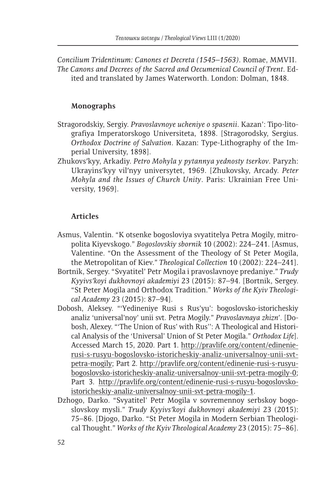*Concilium Tridentinum: Canones et Decreta (1545–1563)*. Romae, MMVII. *The Canons and Decrees of the Sacred and Oecumenical Council of Trent*. Edited and translated by James Waterworth. London: Dolman, 1848.

#### **Monographs**

- Stragorodskiy, Sergiy. *Pravoslavnoye ucheniye o spasenii*. Kazan': Tipo-litografiya Imperatorskogo Universiteta, 1898. [Stragorodsky, Sergius. *Orthodox Doctrine of Salvation*. Kazan: Type-Lithography of the Imperial University, 1898].
- Zhukovsʹkyy, Arkadiy. *Petro Mohyla y pytannya yednosty tserkov*. Paryzh: Ukrayinsʹkyy vilʹnyy universytet, 1969. [Zhukovsky, Arcady. *Peter Mohyla and the Issues of Church Unity*. Paris: Ukrainian Free University, 1969].

#### **Articles**

- Asmus, Valentin. "K otsenke bogosloviya svyatitelya Petra Mogily, mitropolita Kiyevskogo." *Bogoslovskiy sbornik* 10 (2002): 224–241. [Asmus, Valentine. "On the Assessment of the Theology of St Peter Mogila, the Metropolitan of Kiev." *Theological Collection* 10 (2002): 224–241].
- Bortnik, Sergey. "Svyatitel' Petr Mogila i pravoslavnoye predaniye." *Trudy Kyyivsʹkoyi dukhovnoyi akademiyi* 23 (2015): 87–94. [Bortnik, Sergey. "St Peter Mogila and Orthodox Tradition." *Works of the Kyiv Theological Academy* 23 (2015): 87–94].
- Dobosh, Aleksey. "'Yedineniye Rusi s Rus'yu': bogoslovsko-istoricheskiy analiz 'universal'noy' unii svt. Petra Mogily." *Pravoslavnaya zhizn'*. [Dobosh, Alexey. "'The Union of Rus' with Rus'': A Theological and Historical Analysis of the 'Universal' Union of St Peter Mogila." *Orthodox Life*]. Accessed March 15, 2020. Part 1. http://pravlife.org/content/edinenierusi-s-rusyu-bogoslovsko-istoricheskiy-analiz-universalnoy-unii-svtpetra-mogily; Part 2. http://pravlife.org/content/edinenie-rusi-s-rusyubogoslovsko-istoricheskiy-analiz-universalnoy-unii-svt-petra-mogily-0; Part 3. http://pravlife.org/content/edinenie-rusi-s-rusyu-bogoslovskoistoricheskiy-analiz-universalnoy-unii-svt-petra-mogily-1.
- Dzhogo, Darko. "Svyatitel' Petr Mogila v sovremennoy serbskoy bogoslovskoy mysli." *Trudy Kyyivsʹkoyi dukhovnoyi akademiyi* 23 (2015): 75–86. [Djogo, Darko. "St Peter Mogila in Modern Serbian Theological Thought." *Works of the Kyiv Theological Academy* 23 (2015): 75–86].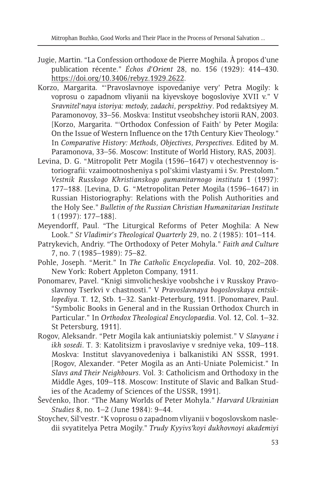- Jugie, Martin. "La Confession orthodoxe de Pierre Moghila. À propos d'une publication récente." *Échos d'Orient* 28, no. 156 (1929): 414–430. https://doi.org/10.3406/rebyz.1929.2622.
- Korzo, Margarita. "'Pravoslavnoye ispovedaniye very' Petra Mogily: k voprosu o zapadnom vliyanii na kiyevskoye bogosloviye XVII v." V *Sravnitel'naya istoriya: metody, zadachi, perspektivy*. Pod redaktsiyey M. Paramonovoy, 33–56. Moskva: Institut vseobshchey istorii RAN, 2003. [Korzo, Margarita. "'Orthodox Confession of Faith' by Peter Mogila: On the Issue of Western Influence on the 17th Century Kiev Theology." In *Comparative History: Methods, Objectives, Perspectives*. Edited by M. Paramonova, 33–56. Moscow: Institute of World History, RAS, 2003].
- Levina, D. G. "Mitropolit Petr Mogila (1596–1647) v otechestvennoy istoriografii: vzaimootnosheniya s pol'skimi vlastyami i Sv. Prestolom." *Vestnik Russkogo Khristianskogo gumanitarnogo instituta* 1 (1997): 177–188. [Levina, D. G. "Metropolitan Peter Mogila (1596–1647) in Russian Historiography: Relations with the Polish Authorities and the Holy See." *Bulletin of the Russian Christian Humanitarian Institute* 1 (1997): 177–188].
- Meyendorff, Paul. "The Liturgical Reforms of Peter Moghila: A New Look." *St Vladimir's Theological Quarterly* 29, no. 2 (1985): 101–114.
- Patrykevich, Andriy. "The Orthodoxy of Peter Mohyla." *Faith and Culture* 7, no. 7 (1985–1989): 75–82.
- Pohle, Joseph. "Merit." In *The Catholic Encyclopedia*. Vol. 10, 202–208. New York: Robert Appleton Company, 1911.
- Ponomarev, Pavel. "Knigi simvolicheskiye voobshche i v Russkoy Pravoslavnoy Tserkvi v chastnosti." V *Pravoslavnaya bogoslovskaya entsiklopediya*. T. 12, Stb. 1–32. Sankt-Peterburg, 1911. [Ponomarev, Paul. "Symbolic Books in General and in the Russian Orthodox Church in Particular." In *Orthodox Theological Encyclopaedia*. Vol. 12, Col. 1–32. St Petersburg, 1911].
- Rogov, Aleksandr. "Petr Mogila kak antiuniatskiy polemist." V *Slavyane i ikh sosedi*. T. 3: Katolitsizm i pravoslaviye v sredniye veka, 109–118. Moskva: Institut slavyanovedeniya i balkanistiki AN SSSR, 1991. [Rogov, Alexander. "Peter Mogila as an Anti-Uniate Polemicist." In *Slavs and Their Neighbours*. Vol. 3: Catholicism and Orthodoxy in the Middle Ages, 109–118. Moscow: Institute of Slavic and Balkan Studies of the Academy of Sciences of the USSR, 1991].
- Ševčenko, Ihor. "The Many Worlds of Peter Mohyla." *Harvard Ukrainian Studies* 8, no. 1–2 (June 1984): 9–44.
- Stoychev, Sil'vestr. "K voprosu o zapadnom vliyanii v bogoslovskom nasledii svyatitelya Petra Mogily." *Trudy Kyyivsʹkoyi dukhovnoyi akademiyi*